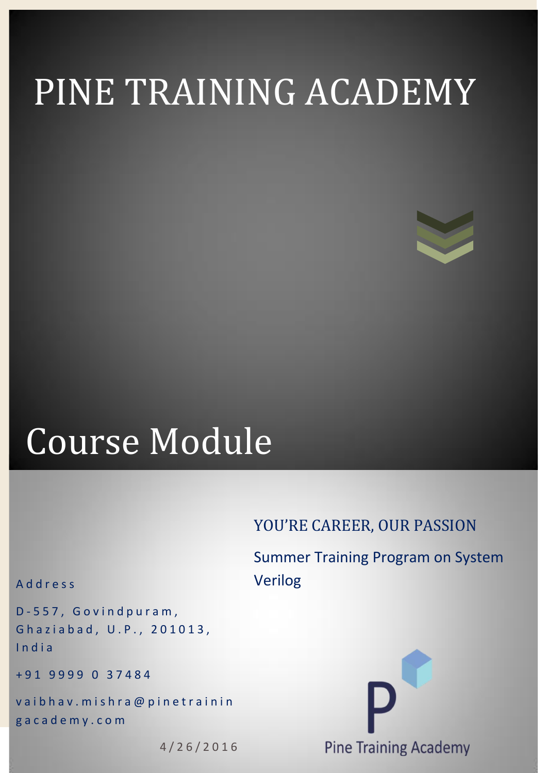# PINE TRAINING ACADEMY

## Course Module

### YOU'RE CAREER, OUR PASSION

Summer Training Program on System Verilog

#### A d d r e s s

D-557, Govindpuram, Ghaziabad, U.P., 201013, I n d i a

+ 9 1 9 9 9 9 0 3 7 4 8 4

vaibhav. mishra@pinetrainin g a c a d e m y . c o m

4 / 2 6 / 2 0 1 6

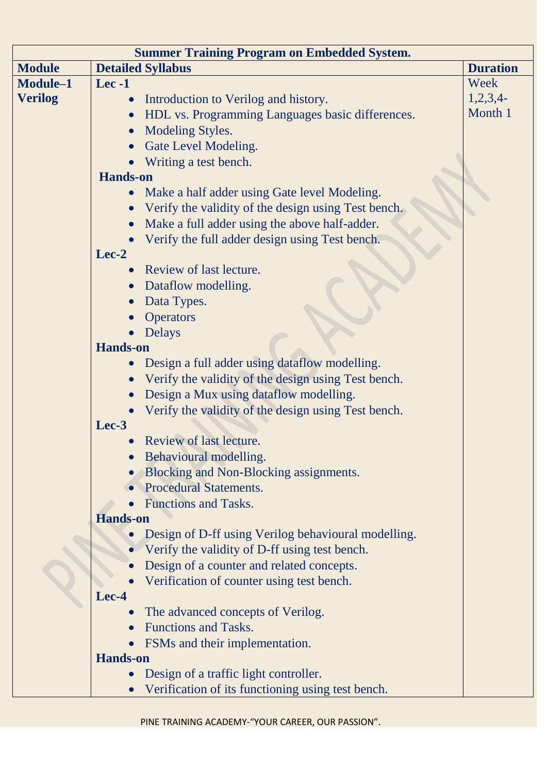| <b>Summer Training Program on Embedded System.</b> |                                                     |                 |  |
|----------------------------------------------------|-----------------------------------------------------|-----------------|--|
| <b>Module</b>                                      | <b>Detailed Syllabus</b>                            | <b>Duration</b> |  |
| Module-1                                           | $Lee -1$                                            | Week            |  |
| <b>Verilog</b>                                     | Introduction to Verilog and history.                | $1,2,3,4$ -     |  |
|                                                    | HDL vs. Programming Languages basic differences.    | Month 1         |  |
|                                                    | <b>Modeling Styles.</b>                             |                 |  |
|                                                    | Gate Level Modeling.                                |                 |  |
|                                                    | Writing a test bench.                               |                 |  |
|                                                    | <b>Hands-on</b>                                     |                 |  |
|                                                    | Make a half adder using Gate level Modeling.        |                 |  |
|                                                    | Verify the validity of the design using Test bench. |                 |  |
|                                                    | Make a full adder using the above half-adder.       |                 |  |
|                                                    | Verify the full adder design using Test bench.      |                 |  |
|                                                    | Lec-2                                               |                 |  |
|                                                    | Review of last lecture.                             |                 |  |
|                                                    | Dataflow modelling.                                 |                 |  |
|                                                    | Data Types.                                         |                 |  |
|                                                    | <b>Operators</b>                                    |                 |  |
|                                                    | <b>Delays</b>                                       |                 |  |
|                                                    | <b>Hands-on</b>                                     |                 |  |
|                                                    | Design a full adder using dataflow modelling.       |                 |  |
|                                                    | Verify the validity of the design using Test bench. |                 |  |
|                                                    | Design a Mux using dataflow modelling.              |                 |  |
|                                                    | Verify the validity of the design using Test bench. |                 |  |
|                                                    | Lec-3                                               |                 |  |
|                                                    | Review of last lecture.                             |                 |  |
|                                                    | Behavioural modelling.                              |                 |  |
|                                                    | Blocking and Non-Blocking assignments.              |                 |  |
|                                                    | <b>Procedural Statements.</b>                       |                 |  |
|                                                    | <b>Functions and Tasks.</b>                         |                 |  |
|                                                    | <b>Hands-on</b>                                     |                 |  |
|                                                    | Design of D-ff using Verilog behavioural modelling. |                 |  |
|                                                    | Verify the validity of D-ff using test bench.       |                 |  |
|                                                    | Design of a counter and related concepts.           |                 |  |
|                                                    | Verification of counter using test bench.           |                 |  |
|                                                    | Lec-4                                               |                 |  |
|                                                    | The advanced concepts of Verilog.                   |                 |  |
|                                                    | <b>Functions and Tasks.</b>                         |                 |  |
|                                                    | FSMs and their implementation.                      |                 |  |
|                                                    | <b>Hands-on</b>                                     |                 |  |
|                                                    | Design of a traffic light controller.               |                 |  |
|                                                    | Verification of its functioning using test bench.   |                 |  |

PINE TRAINING ACADEMY-"YOUR CAREER, OUR PASSION".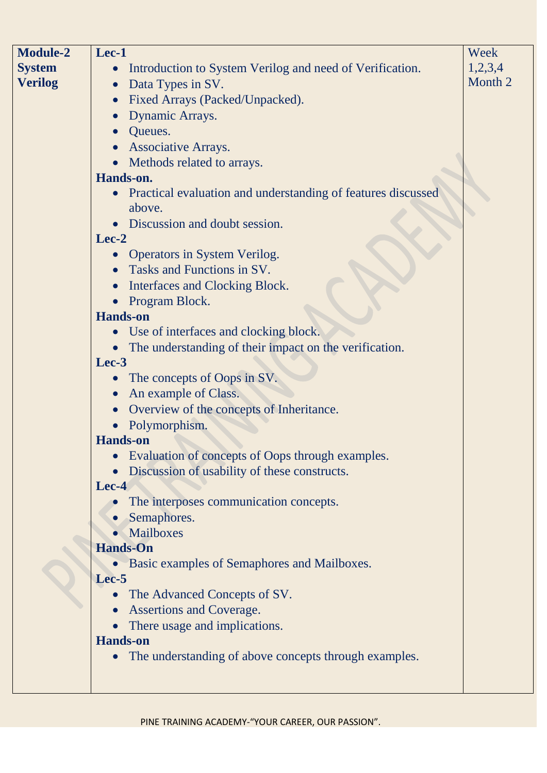| <b>Module-2</b> | Lec-1                                                        | Week    |
|-----------------|--------------------------------------------------------------|---------|
| <b>System</b>   | Introduction to System Verilog and need of Verification.     | 1,2,3,4 |
| <b>Verilog</b>  | Data Types in SV.<br>$\bullet$                               | Month 2 |
|                 | Fixed Arrays (Packed/Unpacked).                              |         |
|                 | Dynamic Arrays.                                              |         |
|                 | Queues.                                                      |         |
|                 | <b>Associative Arrays.</b>                                   |         |
|                 | Methods related to arrays.                                   |         |
|                 | Hands-on.                                                    |         |
|                 | Practical evaluation and understanding of features discussed |         |
|                 | above.                                                       |         |
|                 | Discussion and doubt session.                                |         |
|                 | Lec-2                                                        |         |
|                 | <b>Operators in System Verilog.</b>                          |         |
|                 | Tasks and Functions in SV.                                   |         |
|                 | <b>Interfaces and Clocking Block.</b>                        |         |
|                 | Program Block.                                               |         |
|                 | <b>Hands-on</b>                                              |         |
|                 | Use of interfaces and clocking block.                        |         |
|                 | The understanding of their impact on the verification.       |         |
|                 | Lec-3                                                        |         |
|                 | The concepts of Oops in SV.                                  |         |
|                 | An example of Class.                                         |         |
|                 | Overview of the concepts of Inheritance.                     |         |
|                 | Polymorphism.                                                |         |
|                 | <b>Hands-on</b>                                              |         |
|                 | Evaluation of concepts of Oops through examples.             |         |
|                 | Discussion of usability of these constructs.                 |         |
|                 | Lec-4                                                        |         |
|                 | The interposes communication concepts.                       |         |
|                 | Semaphores.                                                  |         |
|                 | Mailboxes                                                    |         |
|                 | <b>Hands-On</b>                                              |         |
|                 | • Basic examples of Semaphores and Mailboxes.                |         |
|                 | Lec-5                                                        |         |
|                 | The Advanced Concepts of SV.<br>$\bullet$                    |         |
|                 | <b>Assertions and Coverage.</b>                              |         |
|                 | There usage and implications.                                |         |
|                 | <b>Hands-on</b>                                              |         |
|                 | The understanding of above concepts through examples.        |         |
|                 |                                                              |         |